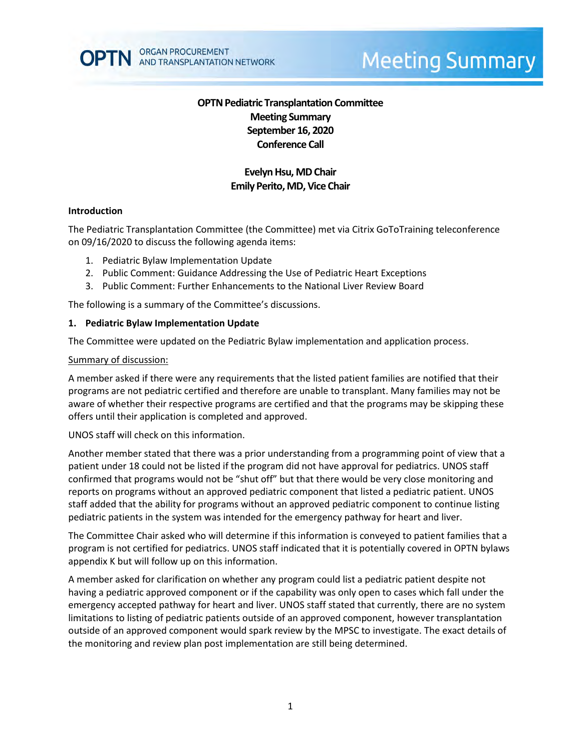

# **Meeting Summary**

# **OPTN Pediatric Transplantation Committee Meeting Summary September 16, 2020 Conference Call**

# **Evelyn Hsu, MDChair Emily Perito, MD, Vice Chair**

#### **Introduction**

The Pediatric Transplantation Committee (the Committee) met via Citrix GoToTraining teleconference on 09/16/2020 to discuss the following agenda items:

- 1. Pediatric Bylaw Implementation Update
- 2. Public Comment: Guidance Addressing the Use of Pediatric Heart Exceptions
- 3. Public Comment: Further Enhancements to the National Liver Review Board

The following is a summary of the Committee's discussions.

#### **1. Pediatric Bylaw Implementation Update**

The Committee were updated on the Pediatric Bylaw implementation and application process.

#### Summary of discussion:

A member asked if there were any requirements that the listed patient families are notified that their programs are not pediatric certified and therefore are unable to transplant. Many families may not be aware of whether their respective programs are certified and that the programs may be skipping these offers until their application is completed and approved.

UNOS staff will check on this information.

Another member stated that there was a prior understanding from a programming point of view that a patient under 18 could not be listed if the program did not have approval for pediatrics. UNOS staff confirmed that programs would not be "shut off" but that there would be very close monitoring and reports on programs without an approved pediatric component that listed a pediatric patient. UNOS staff added that the ability for programs without an approved pediatric component to continue listing pediatric patients in the system was intended for the emergency pathway for heart and liver.

The Committee Chair asked who will determine if this information is conveyed to patient families that a program is not certified for pediatrics. UNOS staff indicated that it is potentially covered in OPTN bylaws appendix K but will follow up on this information.

A member asked for clarification on whether any program could list a pediatric patient despite not having a pediatric approved component or if the capability was only open to cases which fall under the emergency accepted pathway for heart and liver. UNOS staff stated that currently, there are no system limitations to listing of pediatric patients outside of an approved component, however transplantation outside of an approved component would spark review by the MPSC to investigate. The exact details of the monitoring and review plan post implementation are still being determined.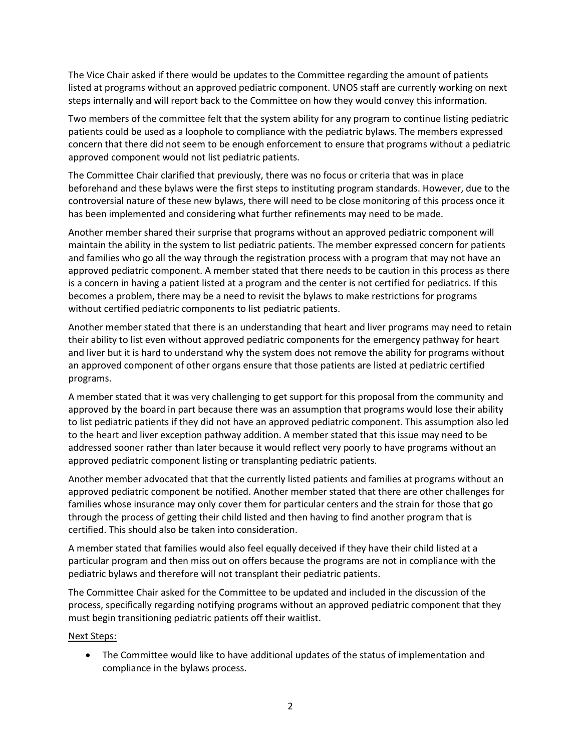The Vice Chair asked if there would be updates to the Committee regarding the amount of patients listed at programs without an approved pediatric component. UNOS staff are currently working on next steps internally and will report back to the Committee on how they would convey this information.

Two members of the committee felt that the system ability for any program to continue listing pediatric patients could be used as a loophole to compliance with the pediatric bylaws. The members expressed concern that there did not seem to be enough enforcement to ensure that programs without a pediatric approved component would not list pediatric patients.

The Committee Chair clarified that previously, there was no focus or criteria that was in place beforehand and these bylaws were the first steps to instituting program standards. However, due to the controversial nature of these new bylaws, there will need to be close monitoring of this process once it has been implemented and considering what further refinements may need to be made.

Another member shared their surprise that programs without an approved pediatric component will maintain the ability in the system to list pediatric patients. The member expressed concern for patients and families who go all the way through the registration process with a program that may not have an approved pediatric component. A member stated that there needs to be caution in this process as there is a concern in having a patient listed at a program and the center is not certified for pediatrics. If this becomes a problem, there may be a need to revisit the bylaws to make restrictions for programs without certified pediatric components to list pediatric patients.

Another member stated that there is an understanding that heart and liver programs may need to retain their ability to list even without approved pediatric components for the emergency pathway for heart and liver but it is hard to understand why the system does not remove the ability for programs without an approved component of other organs ensure that those patients are listed at pediatric certified programs.

A member stated that it was very challenging to get support for this proposal from the community and approved by the board in part because there was an assumption that programs would lose their ability to list pediatric patients if they did not have an approved pediatric component. This assumption also led to the heart and liver exception pathway addition. A member stated that this issue may need to be addressed sooner rather than later because it would reflect very poorly to have programs without an approved pediatric component listing or transplanting pediatric patients.

Another member advocated that that the currently listed patients and families at programs without an approved pediatric component be notified. Another member stated that there are other challenges for families whose insurance may only cover them for particular centers and the strain for those that go through the process of getting their child listed and then having to find another program that is certified. This should also be taken into consideration.

A member stated that families would also feel equally deceived if they have their child listed at a particular program and then miss out on offers because the programs are not in compliance with the pediatric bylaws and therefore will not transplant their pediatric patients.

The Committee Chair asked for the Committee to be updated and included in the discussion of the process, specifically regarding notifying programs without an approved pediatric component that they must begin transitioning pediatric patients off their waitlist.

### Next Steps:

• The Committee would like to have additional updates of the status of implementation and compliance in the bylaws process.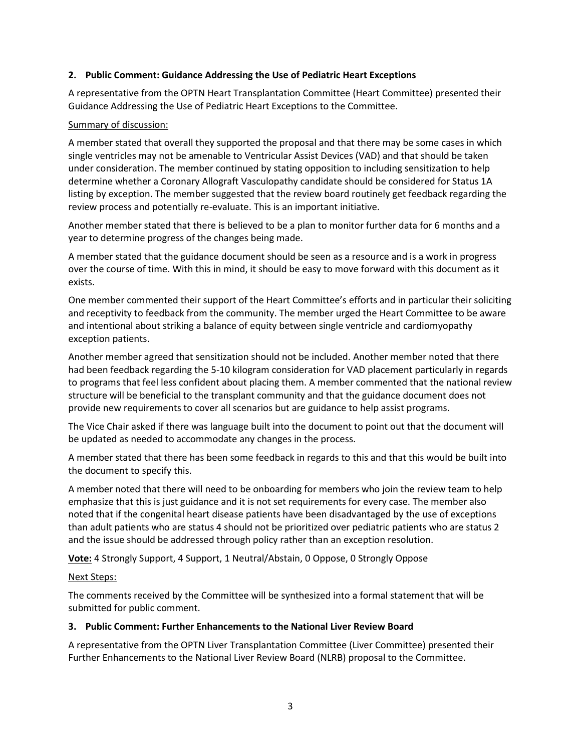## **2. Public Comment: Guidance Addressing the Use of Pediatric Heart Exceptions**

A representative from the OPTN Heart Transplantation Committee (Heart Committee) presented their Guidance Addressing the Use of Pediatric Heart Exceptions to the Committee.

### Summary of discussion:

A member stated that overall they supported the proposal and that there may be some cases in which single ventricles may not be amenable to Ventricular Assist Devices (VAD) and that should be taken under consideration. The member continued by stating opposition to including sensitization to help determine whether a Coronary Allograft Vasculopathy candidate should be considered for Status 1A listing by exception. The member suggested that the review board routinely get feedback regarding the review process and potentially re-evaluate. This is an important initiative.

Another member stated that there is believed to be a plan to monitor further data for 6 months and a year to determine progress of the changes being made.

A member stated that the guidance document should be seen as a resource and is a work in progress over the course of time. With this in mind, it should be easy to move forward with this document as it exists.

One member commented their support of the Heart Committee's efforts and in particular their soliciting and receptivity to feedback from the community. The member urged the Heart Committee to be aware and intentional about striking a balance of equity between single ventricle and cardiomyopathy exception patients.

Another member agreed that sensitization should not be included. Another member noted that there had been feedback regarding the 5-10 kilogram consideration for VAD placement particularly in regards to programs that feel less confident about placing them. A member commented that the national review structure will be beneficial to the transplant community and that the guidance document does not provide new requirements to cover all scenarios but are guidance to help assist programs.

The Vice Chair asked if there was language built into the document to point out that the document will be updated as needed to accommodate any changes in the process.

A member stated that there has been some feedback in regards to this and that this would be built into the document to specify this.

A member noted that there will need to be onboarding for members who join the review team to help emphasize that this is just guidance and it is not set requirements for every case. The member also noted that if the congenital heart disease patients have been disadvantaged by the use of exceptions than adult patients who are status 4 should not be prioritized over pediatric patients who are status 2 and the issue should be addressed through policy rather than an exception resolution.

**Vote:** 4 Strongly Support, 4 Support, 1 Neutral/Abstain, 0 Oppose, 0 Strongly Oppose

### Next Steps:

The comments received by the Committee will be synthesized into a formal statement that will be submitted for public comment.

### **3. Public Comment: Further Enhancements to the National Liver Review Board**

A representative from the OPTN Liver Transplantation Committee (Liver Committee) presented their Further Enhancements to the National Liver Review Board (NLRB) proposal to the Committee.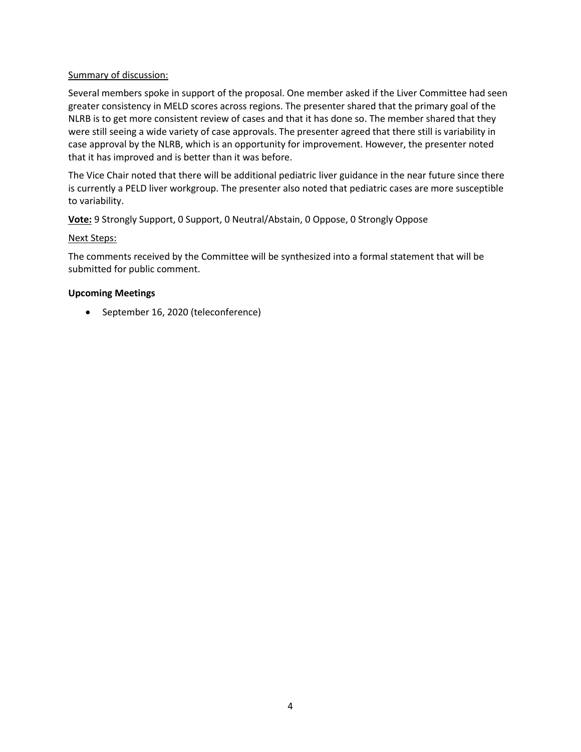## Summary of discussion:

Several members spoke in support of the proposal. One member asked if the Liver Committee had seen greater consistency in MELD scores across regions. The presenter shared that the primary goal of the NLRB is to get more consistent review of cases and that it has done so. The member shared that they were still seeing a wide variety of case approvals. The presenter agreed that there still is variability in case approval by the NLRB, which is an opportunity for improvement. However, the presenter noted that it has improved and is better than it was before.

The Vice Chair noted that there will be additional pediatric liver guidance in the near future since there is currently a PELD liver workgroup. The presenter also noted that pediatric cases are more susceptible to variability.

**Vote:** 9 Strongly Support, 0 Support, 0 Neutral/Abstain, 0 Oppose, 0 Strongly Oppose

### Next Steps:

The comments received by the Committee will be synthesized into a formal statement that will be submitted for public comment.

## **Upcoming Meetings**

• September 16, 2020 (teleconference)